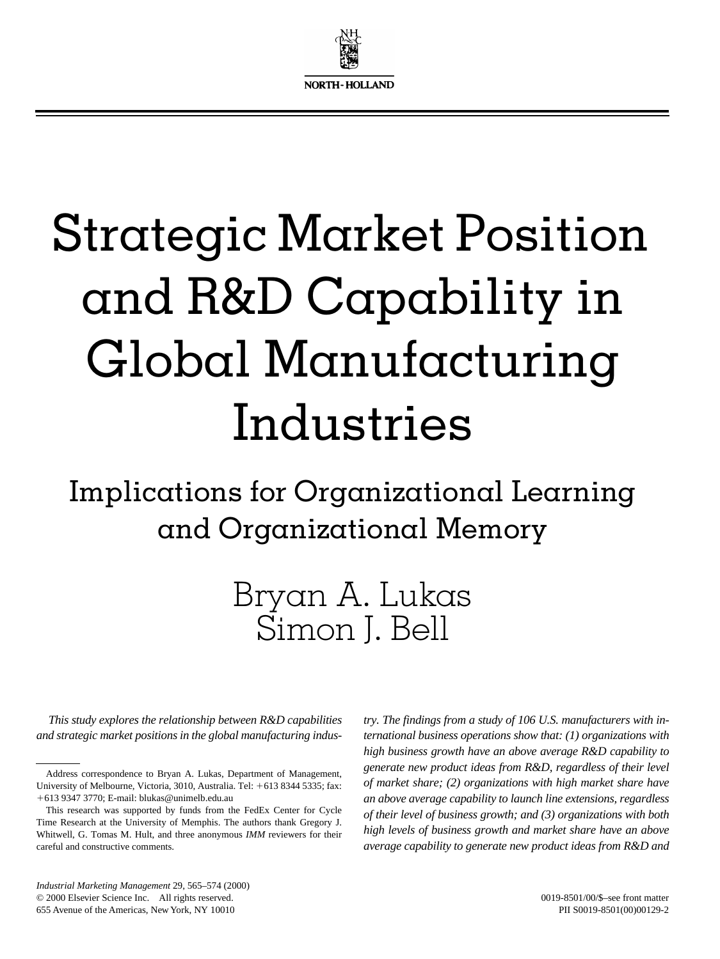

# Strategic Market Position and R&D Capability in Global Manufacturing Industries

Implications for Organizational Learning and Organizational Memory

## Bryan A. Lukas Simon J. Bell

*This study explores the relationship between R&D capabilities and strategic market positions in the global manufacturing indus-*

*try. The findings from a study of 106 U.S. manufacturers with international business operations show that: (1) organizations with high business growth have an above average R&D capability to generate new product ideas from R&D, regardless of their level of market share; (2) organizations with high market share have an above average capability to launch line extensions, regardless of their level of business growth; and (3) organizations with both high levels of business growth and market share have an above average capability to generate new product ideas from R&D and*

*Industrial Marketing Management* 29, 565–574 (2000) © 2000 Elsevier Science Inc. All rights reserved. 655 Avenue of the Americas, New York, NY 10010

Address correspondence to Bryan A. Lukas, Department of Management, University of Melbourne, Victoria, 3010, Australia. Tel: +613 8344 5335; fax: 1613 9347 3770; E-mail: blukas@unimelb.edu.au

This research was supported by funds from the FedEx Center for Cycle Time Research at the University of Memphis. The authors thank Gregory J. Whitwell, G. Tomas M. Hult, and three anonymous *IMM* reviewers for their careful and constructive comments.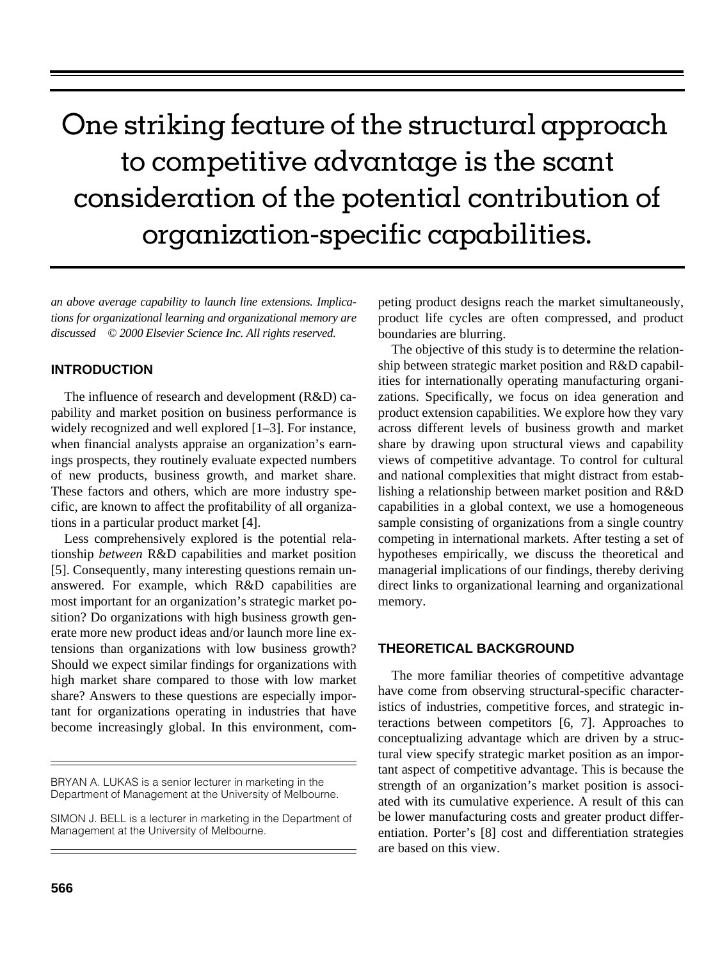### One striking feature of the structural approach to competitive advantage is the scant consideration of the potential contribution of organization-specific capabilities.

*an above average capability to launch line extensions. Implications for organizational learning and organizational memory are discussed © 2000 Elsevier Science Inc. All rights reserved.*

#### **INTRODUCTION**

The influence of research and development (R&D) capability and market position on business performance is widely recognized and well explored  $[1-3]$ . For instance, when financial analysts appraise an organization's earnings prospects, they routinely evaluate expected numbers of new products, business growth, and market share. These factors and others, which are more industry specific, are known to affect the profitability of all organizations in a particular product market [4].

Less comprehensively explored is the potential relationship *between* R&D capabilities and market position [5]. Consequently, many interesting questions remain unanswered. For example, which R&D capabilities are most important for an organization's strategic market position? Do organizations with high business growth generate more new product ideas and/or launch more line extensions than organizations with low business growth? Should we expect similar findings for organizations with high market share compared to those with low market share? Answers to these questions are especially important for organizations operating in industries that have become increasingly global. In this environment, com-

peting product designs reach the market simultaneously, product life cycles are often compressed, and product boundaries are blurring.

The objective of this study is to determine the relationship between strategic market position and R&D capabilities for internationally operating manufacturing organizations. Specifically, we focus on idea generation and product extension capabilities. We explore how they vary across different levels of business growth and market share by drawing upon structural views and capability views of competitive advantage. To control for cultural and national complexities that might distract from establishing a relationship between market position and R&D capabilities in a global context, we use a homogeneous sample consisting of organizations from a single country competing in international markets. After testing a set of hypotheses empirically, we discuss the theoretical and managerial implications of our findings, thereby deriving direct links to organizational learning and organizational memory.

#### **THEORETICAL BACKGROUND**

The more familiar theories of competitive advantage have come from observing structural-specific characteristics of industries, competitive forces, and strategic interactions between competitors [6, 7]. Approaches to conceptualizing advantage which are driven by a structural view specify strategic market position as an important aspect of competitive advantage. This is because the strength of an organization's market position is associated with its cumulative experience. A result of this can be lower manufacturing costs and greater product differentiation. Porter's [8] cost and differentiation strategies are based on this view.

BRYAN A. LUKAS is a senior lecturer in marketing in the Department of Management at the University of Melbourne.

SIMON J. BELL is a lecturer in marketing in the Department of Management at the University of Melbourne.